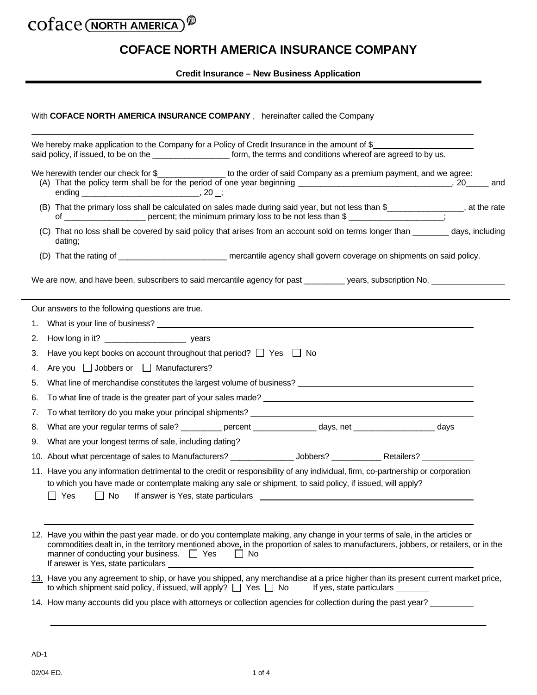### COface (NORTH AMERICA) Ø

## **COFACE NORTH AMERICA INSURANCE COMPANY**

**Credit Insurance – New Business Application** 

| With COFACE NORTH AMERICA INSURANCE COMPANY, hereinafter called the Company |  |
|-----------------------------------------------------------------------------|--|
|                                                                             |  |

|    | We hereby make application to the Company for a Policy of Credit Insurance in the amount of \$                                                                                                                                                                                                                                                                                                                                                                                                  |  |  |
|----|-------------------------------------------------------------------------------------------------------------------------------------------------------------------------------------------------------------------------------------------------------------------------------------------------------------------------------------------------------------------------------------------------------------------------------------------------------------------------------------------------|--|--|
|    | said policy, if issued, to be on the _____________________ form, the terms and conditions whereof are agreed to by us.                                                                                                                                                                                                                                                                                                                                                                          |  |  |
|    | We herewith tender our check for \$_________________ to the order of said Company as a premium payment, and we agree:                                                                                                                                                                                                                                                                                                                                                                           |  |  |
|    | (B) That the primary loss shall be calculated on sales made during said year, but not less than \$_______________, at the rate                                                                                                                                                                                                                                                                                                                                                                  |  |  |
|    | (C) That no loss shall be covered by said policy that arises from an account sold on terms longer than ________ days, including<br>dating;                                                                                                                                                                                                                                                                                                                                                      |  |  |
|    |                                                                                                                                                                                                                                                                                                                                                                                                                                                                                                 |  |  |
|    | We are now, and have been, subscribers to said mercantile agency for past __________ years, subscription No.                                                                                                                                                                                                                                                                                                                                                                                    |  |  |
|    | Our answers to the following questions are true.                                                                                                                                                                                                                                                                                                                                                                                                                                                |  |  |
| 1. |                                                                                                                                                                                                                                                                                                                                                                                                                                                                                                 |  |  |
| 2. |                                                                                                                                                                                                                                                                                                                                                                                                                                                                                                 |  |  |
| З. | Have you kept books on account throughout that period? $\Box$ Yes $\Box$ No                                                                                                                                                                                                                                                                                                                                                                                                                     |  |  |
| 4. | Are you $\Box$ Jobbers or $\Box$ Manufacturers?                                                                                                                                                                                                                                                                                                                                                                                                                                                 |  |  |
| 5. | What line of merchandise constitutes the largest volume of business?<br>The matter of the constitutes of the largest volume of business?                                                                                                                                                                                                                                                                                                                                                        |  |  |
| 6. | To what line of trade is the greater part of your sales made?<br>To what line of trade is the greater part of your sales made?                                                                                                                                                                                                                                                                                                                                                                  |  |  |
| 7. |                                                                                                                                                                                                                                                                                                                                                                                                                                                                                                 |  |  |
| 8. | What are your regular terms of sale? ____________ percent _______________ days, net _____________________ days                                                                                                                                                                                                                                                                                                                                                                                  |  |  |
| 9. |                                                                                                                                                                                                                                                                                                                                                                                                                                                                                                 |  |  |
|    |                                                                                                                                                                                                                                                                                                                                                                                                                                                                                                 |  |  |
|    | 11. Have you any information detrimental to the credit or responsibility of any individual, firm, co-partnership or corporation<br>to which you have made or contemplate making any sale or shipment, to said policy, if issued, will apply?<br>Yes<br>No<br>If answer is Yes, state particulars <u>experience</u> and the state of the state of the state of the state of the state of the state of the state of the state of the state of the state of the state of the state of the state of |  |  |
|    | 12. Have you within the past year made, or do you contemplate making, any change in your terms of sale, in the articles or<br>commodities dealt in, in the territory mentioned above, in the proportion of sales to manufacturers, jobbers, or retailers, or in the<br>manner of conducting your business. $\Box$ Yes<br>$\Box$ No<br>If answer is Yes, state particulars                                                                                                                       |  |  |
|    | 13. Have you any agreement to ship, or have you shipped, any merchandise at a price higher than its present current market price,<br>to which shipment said policy, if issued, will apply? $\Box$ Yes $\Box$ No<br>If yes, state particulars ________                                                                                                                                                                                                                                           |  |  |
|    | 14. How many accounts did you place with attorneys or collection agencies for collection during the past year?                                                                                                                                                                                                                                                                                                                                                                                  |  |  |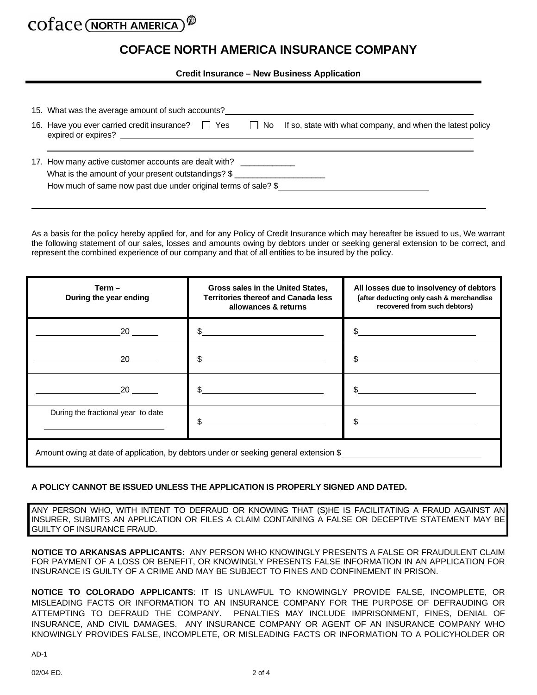# COTACE (NORTH AMERICA

### **COFACE NORTH AMERICA INSURANCE COMPANY**

**Credit Insurance – New Business Application** 

| 15. What was the average amount of such accounts?                                                                                                      |  |
|--------------------------------------------------------------------------------------------------------------------------------------------------------|--|
| 16. Have you ever carried credit insurance?<br>If so, state with what company, and when the latest policy<br>$\Box$ Yes<br>l No<br>expired or expires? |  |
| 17. How many active customer accounts are dealt with? __________________________<br>What is the amount of your present outstandings? \$                |  |
| How much of same now past due under original terms of sale? \$                                                                                         |  |

As a basis for the policy hereby applied for, and for any Policy of Credit Insurance which may hereafter be issued to us, We warrant the following statement of our sales, losses and amounts owing by debtors under or seeking general extension to be correct, and represent the combined experience of our company and that of all entities to be insured by the policy.

| $Term -$<br>During the year ending                                                    | Gross sales in the United States,<br><b>Territories thereof and Canada less</b><br>allowances & returns | All losses due to insolvency of debtors<br>(after deducting only cash & merchandise<br>recovered from such debtors) |  |  |  |
|---------------------------------------------------------------------------------------|---------------------------------------------------------------------------------------------------------|---------------------------------------------------------------------------------------------------------------------|--|--|--|
| 20                                                                                    | \$.                                                                                                     |                                                                                                                     |  |  |  |
|                                                                                       | \$.                                                                                                     |                                                                                                                     |  |  |  |
| 20                                                                                    |                                                                                                         |                                                                                                                     |  |  |  |
| During the fractional year to date                                                    |                                                                                                         |                                                                                                                     |  |  |  |
| Amount owing at date of application, by debtors under or seeking general extension \$ |                                                                                                         |                                                                                                                     |  |  |  |

### **A POLICY CANNOT BE ISSUED UNLESS THE APPLICATION IS PROPERLY SIGNED AND DATED.**

ANY PERSON WHO, WITH INTENT TO DEFRAUD OR KNOWING THAT (S)HE IS FACILITATING A FRAUD AGAINST AN INSURER, SUBMITS AN APPLICATION OR FILES A CLAIM CONTAINING A FALSE OR DECEPTIVE STATEMENT MAY BE GUILTY OF INSURANCE FRAUD.

**NOTICE TO ARKANSAS APPLICANTS:** ANY PERSON WHO KNOWINGLY PRESENTS A FALSE OR FRAUDULENT CLAIM FOR PAYMENT OF A LOSS OR BENEFIT, OR KNOWINGLY PRESENTS FALSE INFORMATION IN AN APPLICATION FOR INSURANCE IS GUILTY OF A CRIME AND MAY BE SUBJECT TO FINES AND CONFINEMENT IN PRISON.

**NOTICE TO COLORADO APPLICANTS**: IT IS UNLAWFUL TO KNOWINGLY PROVIDE FALSE, INCOMPLETE, OR MISLEADING FACTS OR INFORMATION TO AN INSURANCE COMPANY FOR THE PURPOSE OF DEFRAUDING OR ATTEMPTING TO DEFRAUD THE COMPANY. PENALTIES MAY INCLUDE IMPRISONMENT, FINES, DENIAL OF INSURANCE, AND CIVIL DAMAGES. ANY INSURANCE COMPANY OR AGENT OF AN INSURANCE COMPANY WHO KNOWINGLY PROVIDES FALSE, INCOMPLETE, OR MISLEADING FACTS OR INFORMATION TO A POLICYHOLDER OR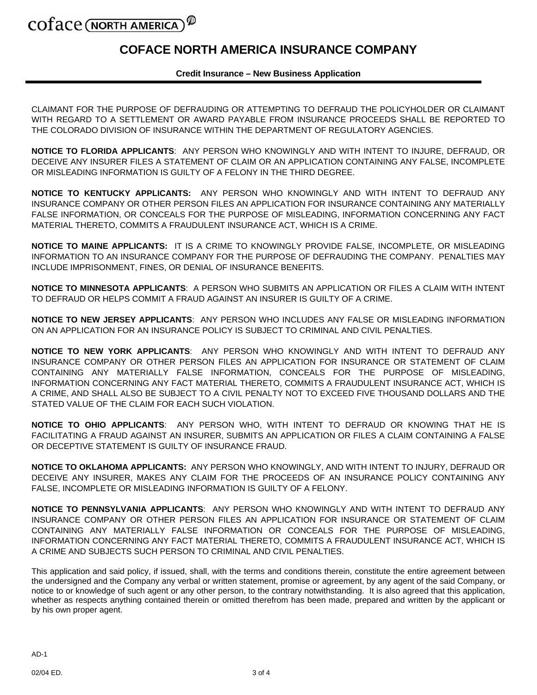# COTACE (NORTH AMERICA)

### **COFACE NORTH AMERICA INSURANCE COMPANY**

#### **Credit Insurance – New Business Application**

CLAIMANT FOR THE PURPOSE OF DEFRAUDING OR ATTEMPTING TO DEFRAUD THE POLICYHOLDER OR CLAIMANT WITH REGARD TO A SETTLEMENT OR AWARD PAYABLE FROM INSURANCE PROCEEDS SHALL BE REPORTED TO THE COLORADO DIVISION OF INSURANCE WITHIN THE DEPARTMENT OF REGULATORY AGENCIES.

**NOTICE TO FLORIDA APPLICANTS**: ANY PERSON WHO KNOWINGLY AND WITH INTENT TO INJURE, DEFRAUD, OR DECEIVE ANY INSURER FILES A STATEMENT OF CLAIM OR AN APPLICATION CONTAINING ANY FALSE, INCOMPLETE OR MISLEADING INFORMATION IS GUILTY OF A FELONY IN THE THIRD DEGREE.

**NOTICE TO KENTUCKY APPLICANTS:** ANY PERSON WHO KNOWINGLY AND WITH INTENT TO DEFRAUD ANY INSURANCE COMPANY OR OTHER PERSON FILES AN APPLICATION FOR INSURANCE CONTAINING ANY MATERIALLY FALSE INFORMATION, OR CONCEALS FOR THE PURPOSE OF MISLEADING, INFORMATION CONCERNING ANY FACT MATERIAL THERETO, COMMITS A FRAUDULENT INSURANCE ACT, WHICH IS A CRIME.

**NOTICE TO MAINE APPLICANTS:** IT IS A CRIME TO KNOWINGLY PROVIDE FALSE, INCOMPLETE, OR MISLEADING INFORMATION TO AN INSURANCE COMPANY FOR THE PURPOSE OF DEFRAUDING THE COMPANY. PENALTIES MAY INCLUDE IMPRISONMENT, FINES, OR DENIAL OF INSURANCE BENEFITS.

**NOTICE TO MINNESOTA APPLICANTS**: A PERSON WHO SUBMITS AN APPLICATION OR FILES A CLAIM WITH INTENT TO DEFRAUD OR HELPS COMMIT A FRAUD AGAINST AN INSURER IS GUILTY OF A CRIME.

**NOTICE TO NEW JERSEY APPLICANTS**: ANY PERSON WHO INCLUDES ANY FALSE OR MISLEADING INFORMATION ON AN APPLICATION FOR AN INSURANCE POLICY IS SUBJECT TO CRIMINAL AND CIVIL PENALTIES.

**NOTICE TO NEW YORK APPLICANTS**: ANY PERSON WHO KNOWINGLY AND WITH INTENT TO DEFRAUD ANY INSURANCE COMPANY OR OTHER PERSON FILES AN APPLICATION FOR INSURANCE OR STATEMENT OF CLAIM CONTAINING ANY MATERIALLY FALSE INFORMATION, CONCEALS FOR THE PURPOSE OF MISLEADING, INFORMATION CONCERNING ANY FACT MATERIAL THERETO, COMMITS A FRAUDULENT INSURANCE ACT, WHICH IS A CRIME, AND SHALL ALSO BE SUBJECT TO A CIVIL PENALTY NOT TO EXCEED FIVE THOUSAND DOLLARS AND THE STATED VALUE OF THE CLAIM FOR EACH SUCH VIOLATION.

**NOTICE TO OHIO APPLICANTS**: ANY PERSON WHO, WITH INTENT TO DEFRAUD OR KNOWING THAT HE IS FACILITATING A FRAUD AGAINST AN INSURER, SUBMITS AN APPLICATION OR FILES A CLAIM CONTAINING A FALSE OR DECEPTIVE STATEMENT IS GUILTY OF INSURANCE FRAUD.

**NOTICE TO OKLAHOMA APPLICANTS:** ANY PERSON WHO KNOWINGLY, AND WITH INTENT TO INJURY, DEFRAUD OR DECEIVE ANY INSURER, MAKES ANY CLAIM FOR THE PROCEEDS OF AN INSURANCE POLICY CONTAINING ANY FALSE, INCOMPLETE OR MISLEADING INFORMATION IS GUILTY OF A FELONY.

**NOTICE TO PENNSYLVANIA APPLICANTS**: ANY PERSON WHO KNOWINGLY AND WITH INTENT TO DEFRAUD ANY INSURANCE COMPANY OR OTHER PERSON FILES AN APPLICATION FOR INSURANCE OR STATEMENT OF CLAIM CONTAINING ANY MATERIALLY FALSE INFORMATION OR CONCEALS FOR THE PURPOSE OF MISLEADING, INFORMATION CONCERNING ANY FACT MATERIAL THERETO, COMMITS A FRAUDULENT INSURANCE ACT, WHICH IS A CRIME AND SUBJECTS SUCH PERSON TO CRIMINAL AND CIVIL PENALTIES.

This application and said policy, if issued, shall, with the terms and conditions therein, constitute the entire agreement between the undersigned and the Company any verbal or written statement, promise or agreement, by any agent of the said Company, or notice to or knowledge of such agent or any other person, to the contrary notwithstanding. It is also agreed that this application, whether as respects anything contained therein or omitted therefrom has been made, prepared and written by the applicant or by his own proper agent.

 $AD-1$